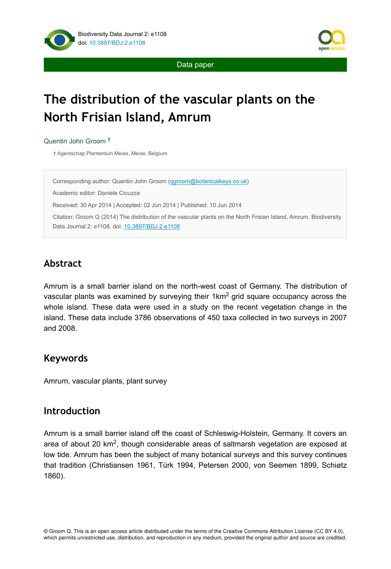



Data paper

# **The distribution of the vascular plants on the North Frisian Island, Amrum**

Quentin John Groom †

† Agentschap Plantentuin Meise, Meise, Belgium

Corresponding author: Quentin John Groom ([qgroom@botanicalkeys.co.uk\)](mailto:qgroom@botanicalkeys.co.uk)

Academic editor: Daniele Cicuzza

Received: 30 Apr 2014 | Accepted: 02 Jun 2014 | Published: 10 Jun 2014

Citation: Groom Q (2014) The distribution of the vascular plants on the North Frisian Island, Amrum. Biodiversity Data Journal 2: e1108. doi: [10.3897/BDJ.2.e1108](http://dx.doi.org/10.3897/BDJ.2.e1108)

# **Abstract**

Amrum is a small barrier island on the north-west coast of Germany. The distribution of vascular plants was examined by surveying their 1km<sup>2</sup> grid square occupancy across the whole island. These data were used in a study on the recent vegetation change in the island. These data include 3786 observations of 450 taxa collected in two surveys in 2007 and 2008.

# **Keywords**

Amrum, vascular plants, plant survey

# **Introduction**

Amrum is a small barrier island off the coast of Schleswig-Holstein, Germany. It covers an area of about 20 km<sup>2</sup>, though considerable areas of saltmarsh vegetation are exposed at low tide. Amrum has been the subject of many botanical surveys and this survey continues that tradition (Christiansen 1961, Türk 1994, Petersen 2000, von Seemen 1899, Schiøtz 1860).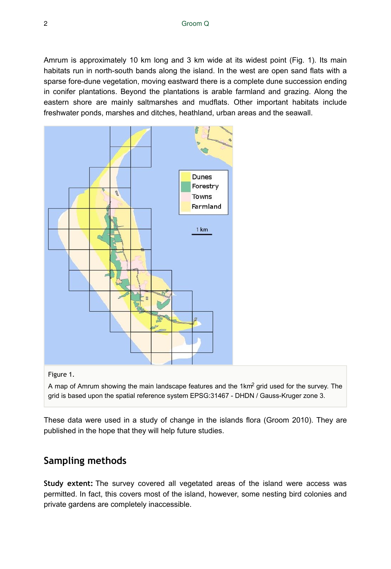Amrum is approximately 10 km long and 3 km wide at its widest point (Fig. 1). Its main habitats run in north-south bands along the island. In the west are open sand flats with a sparse fore-dune vegetation, moving eastward there is a complete dune succession ending in conifer plantations. Beyond the plantations is arable farmland and grazing. Along the eastern shore are mainly saltmarshes and mudflats. Other important habitats include freshwater ponds, marshes and ditches, heathland, urban areas and the seawall.



#### Figure 1.

A map of Amrum showing the main landscape features and the 1km<sup>2</sup> grid used for the survey. The grid is based upon the spatial reference system EPSG:31467 - DHDN / Gauss-Kruger zone 3.

These data were used in a study of change in the islands flora (Groom 2010). They are published in the hope that they will help future studies.

# **Sampling methods**

**Study extent:** The survey covered all vegetated areas of the island were access was permitted. In fact, this covers most of the island, however, some nesting bird colonies and private gardens are completely inaccessible.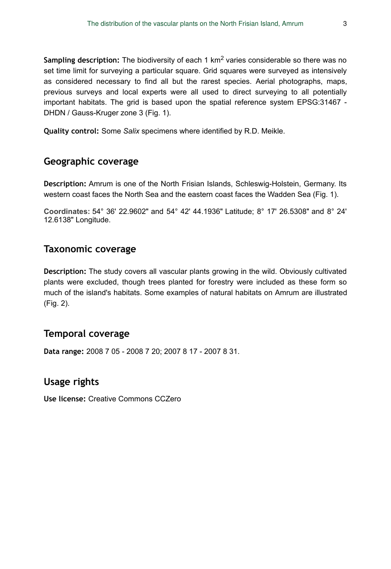Sampling description: The biodiversity of each 1 km<sup>2</sup> varies considerable so there was no set time limit for surveying a particular square. Grid squares were surveyed as intensively as considered necessary to find all but the rarest species. Aerial photographs, maps, previous surveys and local experts were all used to direct surveying to all potentially important habitats. The grid is based upon the spatial reference system EPSG:31467 - DHDN / Gauss-Kruger zone 3 (Fig. 1).

**Quality control:** Some *Salix* specimens where identified by R.D. Meikle.

# **Geographic coverage**

**Description:** Amrum is one of the North Frisian Islands, Schleswig-Holstein, Germany. Its western coast faces the North Sea and the eastern coast faces the Wadden Sea (Fig. 1).

**Coordinates:**  54° 36' 22.9602" and 54° 42' 44.1936" Latitude; 8° 17' 26.5308" and 8° 24' 12.6138" Longitude.

## **Taxonomic coverage**

**Description:** The study covers all vascular plants growing in the wild. Obviously cultivated plants were excluded, though trees planted for forestry were included as these form so much of the island's habitats. Some examples of natural habitats on Amrum are illustrated (Fig. 2).

## **Temporal coverage**

**Data range:** 2008 7 05 - 2008 7 20; 2007 8 17 - 2007 8 31.

## **Usage rights**

**Use license:** Creative Commons CCZero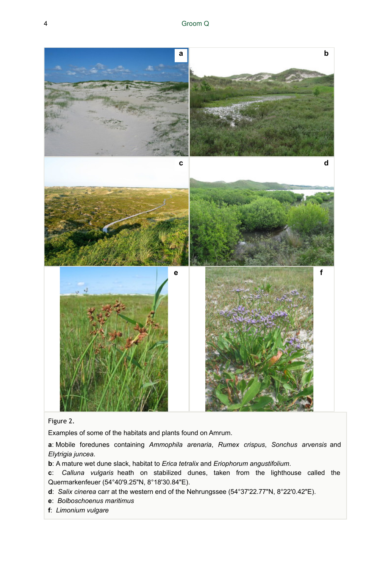

#### Figure 2.

Examples of some of the habitats and plants found on Amrum.

**a**: Mobile foredunes containing *Ammophila arenaria*, *Rumex crispus*, *Sonchus arvensis* and *Elytrigia juncea*.

**b**: A mature wet dune slack, habitat to *Erica tetralix* and *Eriophorum angustifolium*.

**c**: *Calluna vulgaris* heath on stabilized dunes, taken from the lighthouse called the Quermarkenfeuer (54°40'9.25"N, 8°18'30.84"E).

- **d**: *Salix cinerea* carr at the western end of the Nehrungssee (54°37'22.77"N, 8°22'0.42"E).
- **e**: *Bolboschoenus maritimus*
- **f**: *Limonium vulgare*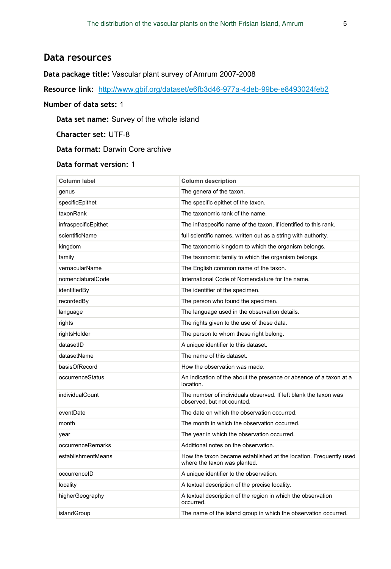### **Data resources**

#### **Data package title:** Vascular plant survey of Amrum 2007-2008

**Resource link:** <http://www.gbif.org/dataset/e6fb3d46-977a-4deb-99be-e8493024feb2>

#### **Number of data sets:** 1

**Data set name:** Survey of the whole island

**Character set:** UTF-8

**Data format:** Darwin Core archive

#### **Data format version:** 1

| <b>Column label</b>  | <b>Column description</b>                                                                         |
|----------------------|---------------------------------------------------------------------------------------------------|
| qenus                | The genera of the taxon.                                                                          |
| specificEpithet      | The specific epithet of the taxon.                                                                |
| taxonRank            | The taxonomic rank of the name.                                                                   |
| infraspecificEpithet | The infraspecific name of the taxon, if identified to this rank.                                  |
| scientificName       | full scientific names, written out as a string with authority.                                    |
| kingdom              | The taxonomic kingdom to which the organism belongs.                                              |
| family               | The taxonomic family to which the organism belongs.                                               |
| vernacularName       | The English common name of the taxon.                                                             |
| nomenclaturalCode    | International Code of Nomenclature for the name.                                                  |
| identifiedBy         | The identifier of the specimen.                                                                   |
| recordedBy           | The person who found the specimen.                                                                |
| language             | The language used in the observation details.                                                     |
| rights               | The rights given to the use of these data.                                                        |
| rightsHolder         | The person to whom these right belong.                                                            |
| datasetID            | A unique identifier to this dataset.                                                              |
| datasetName          | The name of this dataset.                                                                         |
| basisOfRecord        | How the observation was made.                                                                     |
| occurrenceStatus     | An indication of the about the presence or absence of a taxon at a<br>location.                   |
| individualCount      | The number of individuals observed. If left blank the taxon was<br>observed, but not counted.     |
| eventDate            | The date on which the observation occurred.                                                       |
| month                | The month in which the observation occurred.                                                      |
| year                 | The year in which the observation occurred.                                                       |
| occurrenceRemarks    | Additional notes on the observation.                                                              |
| establishmentMeans   | How the taxon became established at the location. Frequently used<br>where the taxon was planted. |
| occurrenceID         | A unique identifier to the observation.                                                           |
| locality             | A textual description of the precise locality.                                                    |
| higherGeography      | A textual description of the region in which the observation<br>occurred.                         |
| islandGroup          | The name of the island group in which the observation occurred.                                   |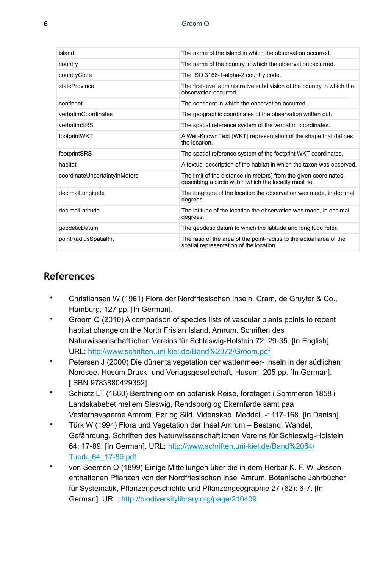#### 6 Groom Q

| island                        | The name of the island in which the observation occurred.                                                                   |
|-------------------------------|-----------------------------------------------------------------------------------------------------------------------------|
| country                       | The name of the country in which the observation occurred.                                                                  |
| countryCode                   | The ISO 3166-1-alpha-2 country code.                                                                                        |
| stateProvince                 | The first-level administrative subdivision of the country in which the<br>observation occurred.                             |
| continent                     | The continent in which the observation occurred.                                                                            |
| verbatimCoordinates           | The geographic coordinates of the observation written out.                                                                  |
| verbatimSRS                   | The spatial reference system of the verbatim coordinates.                                                                   |
| footprintWKT                  | A Well-Known Text (WKT) representation of the shape that defines<br>the location.                                           |
| footprintSRS                  | The spatial reference system of the footprint WKT coordinates.                                                              |
| habitat                       | A textual description of the habitat in which the taxon was observed.                                                       |
| coordinateUncertaintyInMeters | The limit of the distance (in meters) from the given coordinates<br>describing a circle within which the locality must lie. |
| decimalLongitude              | The longitude of the location the observation was made, in decimal<br>degrees.                                              |
| decimalLatitude               | The latitude of the location the observation was made, in decimal<br>degrees.                                               |
| geodeticDatum                 | The geodetic datum to which the latitude and longitude refer.                                                               |
| pointRadiusSpatialFit         | The ratio of the area of the point-radius to the actual area of the<br>spatial representation of the location               |

### **References**

- Christiansen W (1961) Flora der Nordfriesischen Inseln. Cram, de Gruyter & Co., Hamburg, 127 pp. [In German].
- Groom Q (2010) A comparison of species lists of vascular plants points to recent habitat change on the North Frisian Island, Amrum. Schriften des Naturwissenschaftlichen Vereins für Schleswig-Holstein 72: 29‑35. [In English]. URL:<http://www.schriften.uni-kiel.de/Band%2072/Groom.pdf>
- Petersen J (2000) Die dünentalvegetation der wattenmeer- inseln in der südlichen Nordsee. Husum Druck- und Verlagsgesellschaft, Husum, 205 pp. [In German]. [ISBN 9783880429352]
- Schiøtz LT (1860) Beretning om en botanisk Reise, foretaget i Sommeren 1858 i Landskabebet mellem Sleswig, Rendsborg og Ekernførde samt paa Vesterhavsøerne Amrom, Før og Sild. Videnskab. Meddel. -: 117‑168. [In Danish].
- Türk W (1994) Flora und Vegetation der Insel Amrum Bestand, Wandel, Gefährdung. Schriften des Naturwissenschaftlichen Vereins für Schleswig-Holstein 64: 17‑89. [In German]. URL: [http://www.schriften.uni-kiel.de/Band%2064/](http://www.schriften.uni-kiel.de/Band%2064/Tuerk_64_17-89.pdf) [Tuerk\\_64\\_17-89.pdf](http://www.schriften.uni-kiel.de/Band%2064/Tuerk_64_17-89.pdf)
- von Seemen O (1899) Einige Mitteilungen über die in dem Herbar K. F. W. Jessen enthaltenen Pflanzen von der Nordfriesischen Insel Amrum. Botanische Jahrbücher für Systematik, Pflanzengeschichte und Pflanzengeographie 27 (62): 6‑7. [In German]. URL:<http://biodiversitylibrary.org/page/210409>